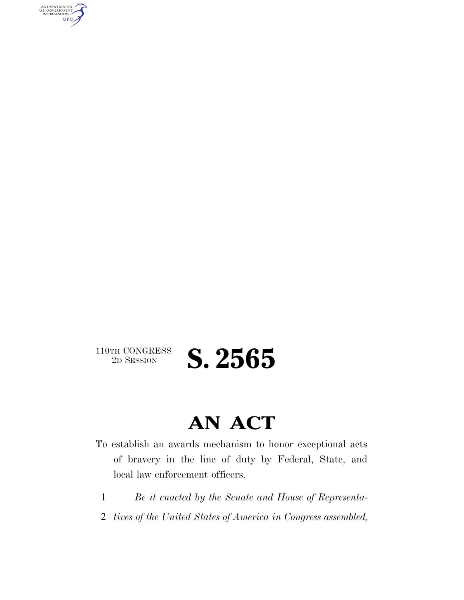AUTHENTICATED<br>U.S. GOVERNMENT<br>INFORMATION GPO

110TH CONGRESS<br>2D SESSION

2D SESSION **S. 2565** 

# **AN ACT**

To establish an awards mechanism to honor exceptional acts of bravery in the line of duty by Federal, State, and local law enforcement officers.

- 1 *Be it enacted by the Senate and House of Representa-*
- 2 *tives of the United States of America in Congress assembled,*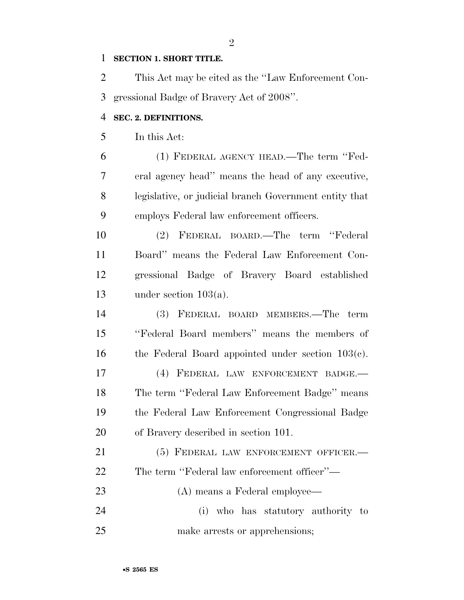#### **SECTION 1. SHORT TITLE.**

 This Act may be cited as the ''Law Enforcement Con-gressional Badge of Bravery Act of 2008''.

#### **SEC. 2. DEFINITIONS.**

In this Act:

 (1) FEDERAL AGENCY HEAD.—The term ''Fed- eral agency head'' means the head of any executive, legislative, or judicial branch Government entity that employs Federal law enforcement officers.

 (2) FEDERAL BOARD.—The term ''Federal Board'' means the Federal Law Enforcement Con- gressional Badge of Bravery Board established under section 103(a).

 (3) FEDERAL BOARD MEMBERS.—The term ''Federal Board members'' means the members of the Federal Board appointed under section 103(c). (4) FEDERAL LAW ENFORCEMENT BADGE.— The term ''Federal Law Enforcement Badge'' means the Federal Law Enforcement Congressional Badge of Bravery described in section 101.

21 (5) FEDERAL LAW ENFORCEMENT OFFICER. The term ''Federal law enforcement officer''— (A) means a Federal employee— (i) who has statutory authority to make arrests or apprehensions;

 $\mathfrak{D}$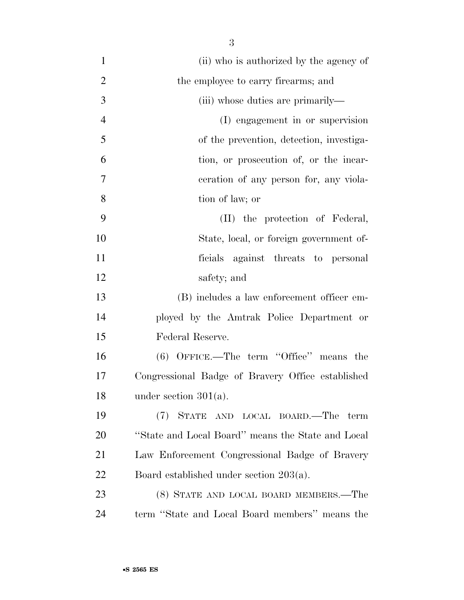(ii) who is authorized by the agency of 2 the employee to carry firearms; and 3 (iii) whose duties are primarily— (I) engagement in or supervision of the prevention, detection, investiga- tion, or prosecution of, or the incar- ceration of any person for, any viola- tion of law; or (II) the protection of Federal, State, local, or foreign government of- ficials against threats to personal safety; and (B) includes a law enforcement officer em- ployed by the Amtrak Police Department or Federal Reserve. (6) OFFICE.—The term ''Office'' means the Congressional Badge of Bravery Office established under section 301(a). (7) STATE AND LOCAL BOARD.—The term

 ''State and Local Board'' means the State and Local Law Enforcement Congressional Badge of Bravery Board established under section 203(a).

 (8) STATE AND LOCAL BOARD MEMBERS.—The term ''State and Local Board members'' means the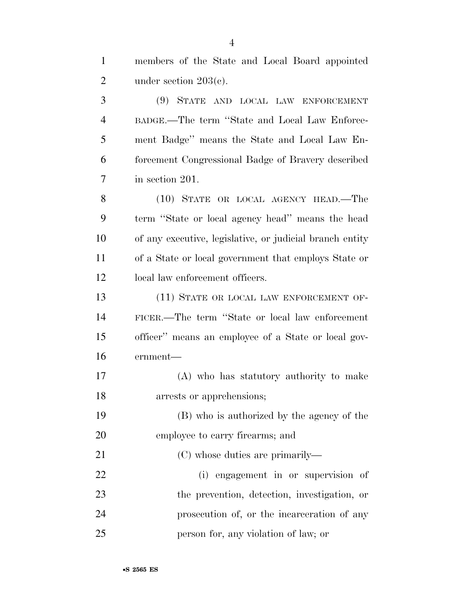| $\mathbf{1}$   | members of the State and Local Board appointed           |
|----------------|----------------------------------------------------------|
| $\overline{2}$ | under section $203(c)$ .                                 |
| 3              | (9) STATE AND LOCAL LAW ENFORCEMENT                      |
| $\overline{4}$ | BADGE.—The term "State and Local Law Enforce-            |
| 5              | ment Badge" means the State and Local Law En-            |
| 6              | forcement Congressional Badge of Bravery described       |
| 7              | in section 201.                                          |
| 8              | (10) STATE OR LOCAL AGENCY HEAD.—The                     |
| 9              | term "State or local agency head" means the head         |
| 10             | of any executive, legislative, or judicial branch entity |
| 11             | of a State or local government that employs State or     |
| 12             | local law enforcement officers.                          |
| 13             | (11) STATE OR LOCAL LAW ENFORCEMENT OF-                  |
| 14             | FICER.—The term "State or local law enforcement"         |
| 15             | officer" means an employee of a State or local gov-      |
| 16             | ernment-                                                 |
| 17             | (A) who has statutory authority to make                  |
| 18             | arrests or apprehensions;                                |
| 19             | (B) who is authorized by the agency of the               |
| 20             | employee to carry firearms; and                          |
| 21             | (C) whose duties are primarily—                          |
| 22             | (i) engagement in or supervision of                      |
| 23             | the prevention, detection, investigation, or             |
| 24             | prosecution of, or the incarceration of any              |
|                |                                                          |

person for, any violation of law; or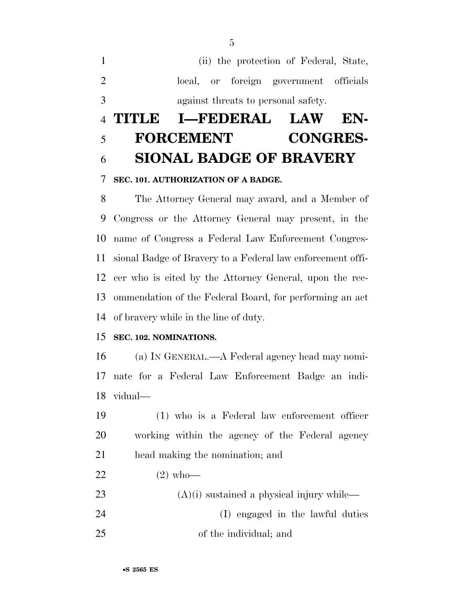(ii) the protection of Federal, State, local, or foreign government officials against threats to personal safety.

# **TITLE I—FEDERAL LAW EN- FORCEMENT CONGRES-SIONAL BADGE OF BRAVERY**

#### **SEC. 101. AUTHORIZATION OF A BADGE.**

 The Attorney General may award, and a Member of Congress or the Attorney General may present, in the name of Congress a Federal Law Enforcement Congres- sional Badge of Bravery to a Federal law enforcement offi- cer who is cited by the Attorney General, upon the rec- ommendation of the Federal Board, for performing an act of bravery while in the line of duty.

#### **SEC. 102. NOMINATIONS.**

 (a) IN GENERAL.—A Federal agency head may nomi- nate for a Federal Law Enforcement Badge an indi-vidual—

 (1) who is a Federal law enforcement officer working within the agency of the Federal agency head making the nomination; and

- 22  $(2)$  who—
- 23 (A)(i) sustained a physical injury while— (I) engaged in the lawful duties of the individual; and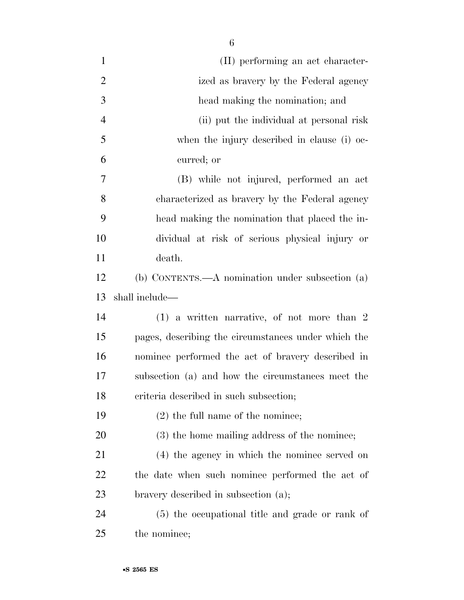| $\mathbf{1}$   | (II) performing an act character-                   |
|----------------|-----------------------------------------------------|
| $\overline{2}$ | ized as bravery by the Federal agency               |
| 3              | head making the nomination; and                     |
| $\overline{4}$ | (ii) put the individual at personal risk            |
| 5              | when the injury described in clause (i) oc-         |
| 6              | curred; or                                          |
| $\overline{7}$ | (B) while not injured, performed an act             |
| 8              | characterized as bravery by the Federal agency      |
| 9              | head making the nomination that placed the in-      |
| 10             | dividual at risk of serious physical injury or      |
| 11             | death.                                              |
| 12             | (b) CONTENTS.—A nomination under subsection (a)     |
| 13             | shall include—                                      |
| 14             | $(1)$ a written narrative, of not more than 2       |
| 15             | pages, describing the circumstances under which the |
| 16             | nominee performed the act of bravery described in   |
| 17             | subsection (a) and how the circumstances meet the   |
| 18             | criteria described in such subsection;              |
| 19             | $(2)$ the full name of the nominee;                 |
| 20             | (3) the home mailing address of the nominee;        |
| 21             | (4) the agency in which the nominee served on       |
| 22             | the date when such nominee performed the act of     |
| 23             | bravery described in subsection (a);                |
| 24             | (5) the occupational title and grade or rank of     |
| 25             | the nominee;                                        |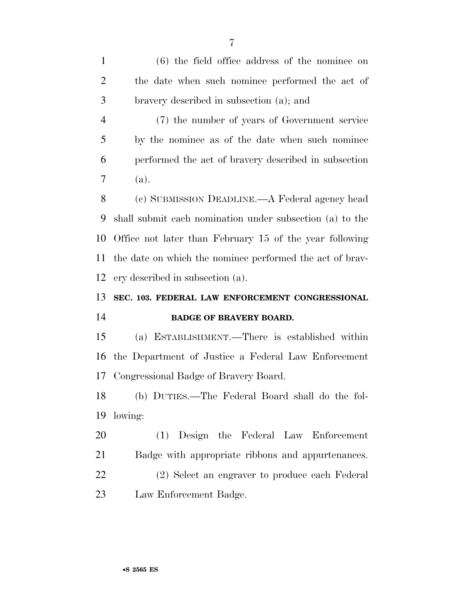(6) the field office address of the nominee on the date when such nominee performed the act of bravery described in subsection (a); and

 (7) the number of years of Government service by the nominee as of the date when such nominee performed the act of bravery described in subsection (a).

 (c) SUBMISSION DEADLINE.—A Federal agency head shall submit each nomination under subsection (a) to the Office not later than February 15 of the year following the date on which the nominee performed the act of brav-ery described in subsection (a).

## **SEC. 103. FEDERAL LAW ENFORCEMENT CONGRESSIONAL BADGE OF BRAVERY BOARD.**

 (a) ESTABLISHMENT.—There is established within the Department of Justice a Federal Law Enforcement Congressional Badge of Bravery Board.

 (b) DUTIES.—The Federal Board shall do the fol-lowing:

 (1) Design the Federal Law Enforcement Badge with appropriate ribbons and appurtenances.

 (2) Select an engraver to produce each Federal Law Enforcement Badge.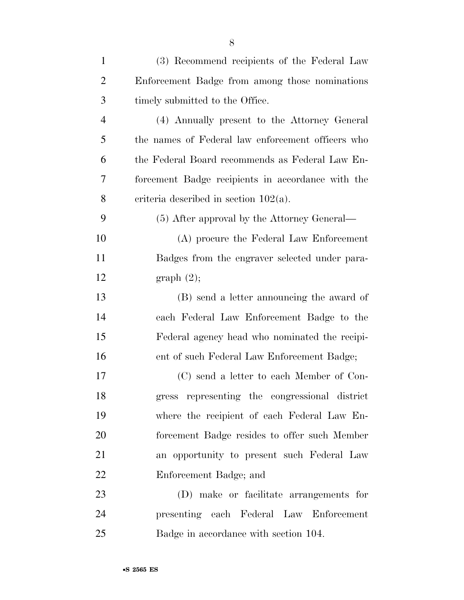| $\mathbf{1}$   | (3) Recommend recipients of the Federal Law       |
|----------------|---------------------------------------------------|
| $\overline{2}$ | Enforcement Badge from among those nominations    |
| 3              | timely submitted to the Office.                   |
| $\overline{4}$ | (4) Annually present to the Attorney General      |
| 5              | the names of Federal law enforcement officers who |
| 6              | the Federal Board recommends as Federal Law En-   |
| 7              | forcement Badge recipients in accordance with the |
| 8              | criteria described in section $102(a)$ .          |
| 9              | (5) After approval by the Attorney General—       |
| 10             | (A) procure the Federal Law Enforcement           |
| 11             | Badges from the engraver selected under para-     |
| 12             | graph(2);                                         |
| 13             | (B) send a letter announcing the award of         |
| 14             | each Federal Law Enforcement Badge to the         |
| 15             | Federal agency head who nominated the recipi-     |
| 16             | ent of such Federal Law Enforcement Badge;        |
| 17             | (C) send a letter to each Member of Con-          |
| 18             | gress representing the congressional district     |
| 19             | where the recipient of each Federal Law En-       |
| 20             | forcement Badge resides to offer such Member      |
| 21             | an opportunity to present such Federal Law        |
| 22             | Enforcement Badge; and                            |
| 23             | (D) make or facilitate arrangements for           |
| 24             | presenting each Federal Law Enforcement           |
| 25             | Badge in accordance with section 104.             |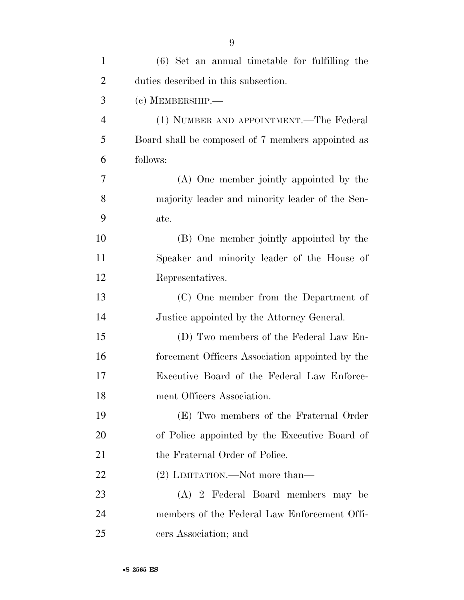| $\mathbf{1}$   | $(6)$ Set an annual timetable for fulfilling the  |
|----------------|---------------------------------------------------|
| $\overline{2}$ | duties described in this subsection.              |
| 3              | $(c)$ MEMBERSHIP.—                                |
| $\overline{4}$ | (1) NUMBER AND APPOINTMENT.—The Federal           |
| 5              | Board shall be composed of 7 members appointed as |
| 6              | follows:                                          |
| 7              | (A) One member jointly appointed by the           |
| 8              | majority leader and minority leader of the Sen-   |
| 9              | ate.                                              |
| 10             | (B) One member jointly appointed by the           |
| 11             | Speaker and minority leader of the House of       |
| 12             | Representatives.                                  |
| 13             | (C) One member from the Department of             |
| 14             | Justice appointed by the Attorney General.        |
| 15             | (D) Two members of the Federal Law En-            |
| 16             | forcement Officers Association appointed by the   |
| 17             | Executive Board of the Federal Law Enforce-       |
| 18             | ment Officers Association.                        |
| 19             | (E) Two members of the Fraternal Order            |
| 20             | of Police appointed by the Executive Board of     |
| 21             | the Fraternal Order of Police.                    |
| 22             | (2) LIMITATION.—Not more than—                    |
| 23             | (A) 2 Federal Board members may be                |
| 24             | members of the Federal Law Enforcement Offi-      |
| 25             | cers Association; and                             |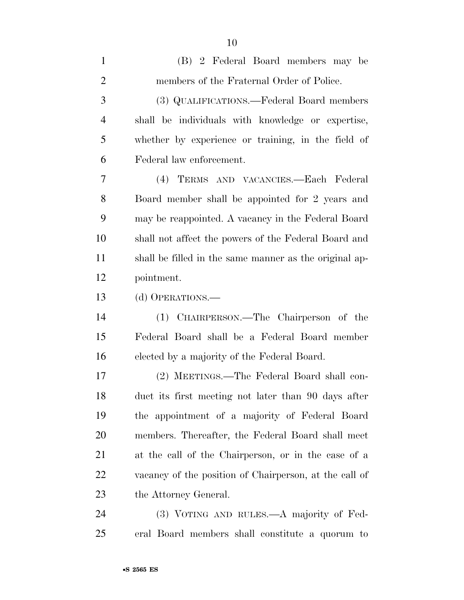| $\mathbf{1}$   | (B) 2 Federal Board members may be                     |
|----------------|--------------------------------------------------------|
| $\overline{2}$ | members of the Fraternal Order of Police.              |
| 3              | (3) QUALIFICATIONS.—Federal Board members              |
| $\overline{4}$ | shall be individuals with knowledge or expertise,      |
| 5              | whether by experience or training, in the field of     |
| 6              | Federal law enforcement.                               |
| $\overline{7}$ | (4) TERMS AND VACANCIES.—Each Federal                  |
| 8              | Board member shall be appointed for 2 years and        |
| 9              | may be reappointed. A vacancy in the Federal Board     |
| 10             | shall not affect the powers of the Federal Board and   |
| 11             | shall be filled in the same manner as the original ap- |
| 12             | pointment.                                             |
| 13             | (d) OPERATIONS.—                                       |
| 14             | (1) CHAIRPERSON.—The Chairperson of the                |
| 15             | Federal Board shall be a Federal Board member          |
| 16             | elected by a majority of the Federal Board.            |
| 17             | (2) MEETINGS.—The Federal Board shall con-             |
| 18             | duct its first meeting not later than 90 days after    |
| 19             | the appointment of a majority of Federal Board         |
| 20             | members. Thereafter, the Federal Board shall meet      |
| 21             | at the call of the Chairperson, or in the case of a    |
| 22             | vacancy of the position of Chairperson, at the call of |
| 23             | the Attorney General.                                  |
| 24             | (3) VOTING AND RULES.—A majority of Fed-               |
| 25             | eral Board members shall constitute a quorum to        |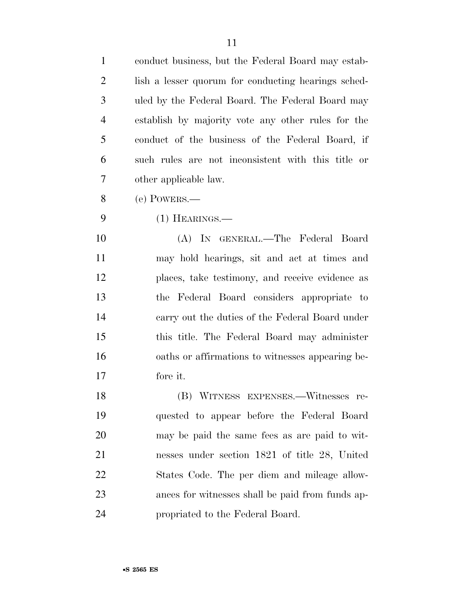| $\mathbf{1}$   | conduct business, but the Federal Board may estab-  |
|----------------|-----------------------------------------------------|
| $\overline{2}$ | lish a lesser quorum for conducting hearings sched- |
| 3              | uled by the Federal Board. The Federal Board may    |
| $\overline{4}$ | establish by majority vote any other rules for the  |
| 5              | conduct of the business of the Federal Board, if    |
| 6              | such rules are not inconsistent with this title or  |
| 7              | other applicable law.                               |
| 8              | (e) POWERS.—                                        |
| 9              | $(1)$ HEARINGS.—                                    |
| 10             | (A) IN GENERAL.—The Federal Board                   |
| 11             | may hold hearings, sit and act at times and         |
| 12             | places, take testimony, and receive evidence as     |
| 13             | the Federal Board considers appropriate to          |
| 14             | carry out the duties of the Federal Board under     |
| 15             | this title. The Federal Board may administer        |
| 16             | oaths or affirmations to witnesses appearing be-    |
| 17             | fore it.                                            |
| 18             | (B) WITNESS EXPENSES.—Witnesses re-                 |
| 19             | quested to appear before the Federal Board          |
| 20             | may be paid the same fees as are paid to wit-       |
| 21             | nesses under section 1821 of title 28, United       |
| 22             | States Code. The per diem and mileage allow-        |
| 23             | ances for witnesses shall be paid from funds ap-    |
| 24             | propriated to the Federal Board.                    |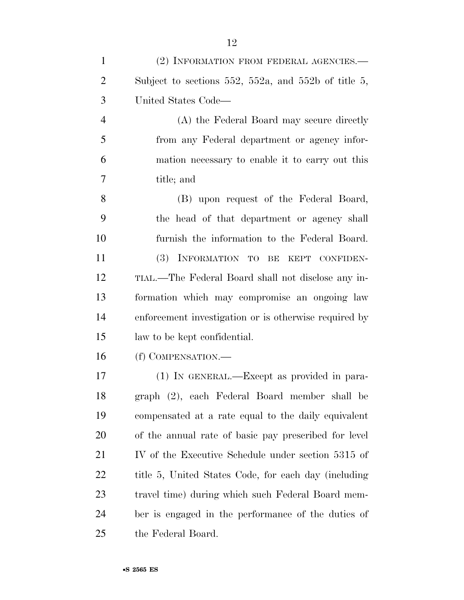| $\mathbf{1}$   | (2) INFORMATION FROM FEDERAL AGENCIES.-               |
|----------------|-------------------------------------------------------|
| $\overline{2}$ | Subject to sections 552, 552a, and 552b of title 5,   |
| 3              | United States Code—                                   |
| $\overline{4}$ | (A) the Federal Board may secure directly             |
| 5              | from any Federal department or agency infor-          |
| 6              | mation necessary to enable it to carry out this       |
| 7              | title; and                                            |
| 8              | (B) upon request of the Federal Board,                |
| 9              | the head of that department or agency shall           |
| 10             | furnish the information to the Federal Board.         |
| 11             | (3) INFORMATION TO BE KEPT CONFIDEN-                  |
| 12             | TIAL.—The Federal Board shall not disclose any in-    |
| 13             | formation which may compromise an ongoing law         |
| 14             | enforcement investigation or is otherwise required by |
| 15             | law to be kept confidential.                          |
| 16             | (f) COMPENSATION.—                                    |
| 17             | (1) IN GENERAL.—Except as provided in para-           |
| 18             | graph (2), each Federal Board member shall be         |
| 19             | compensated at a rate equal to the daily equivalent   |
| 20             | of the annual rate of basic pay prescribed for level  |
| 21             | IV of the Executive Schedule under section 5315 of    |
| 22             | title 5, United States Code, for each day (including  |
| 23             | travel time) during which such Federal Board mem-     |
| 24             | ber is engaged in the performance of the duties of    |
| 25             | the Federal Board.                                    |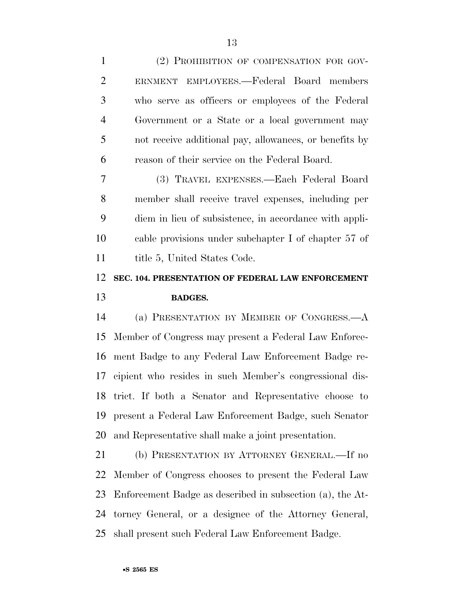| $\mathbf{1}$   | (2) PROHIBITION OF COMPENSATION FOR GOV-               |
|----------------|--------------------------------------------------------|
| $\overline{2}$ | ERNMENT EMPLOYEES.—Federal Board members               |
| 3              | who serve as officers or employees of the Federal      |
| $\overline{4}$ | Government or a State or a local government may        |
| 5              | not receive additional pay, allowances, or benefits by |
| 6              | reason of their service on the Federal Board.          |
| $\overline{7}$ | (3) TRAVEL EXPENSES.—Each Federal Board                |
| 8              | member shall receive travel expenses, including per    |
| 9              | diem in lieu of subsistence, in accordance with appli- |
| 10             | cable provisions under subchapter I of chapter 57 of   |
| 11             | title 5, United States Code.                           |
| 12             | SEC. 104. PRESENTATION OF FEDERAL LAW ENFORCEMENT      |
| 13             | <b>BADGES.</b>                                         |
| 14             | (a) PRESENTATION BY MEMBER OF CONGRESS.—A              |
| 15             | Member of Congress may present a Federal Law Enforce-  |
|                | 16 ment Badge to any Federal Law Enforcement Badge re- |

 ment Badge to any Federal Law Enforcement Badge re- cipient who resides in such Member's congressional dis- trict. If both a Senator and Representative choose to present a Federal Law Enforcement Badge, such Senator and Representative shall make a joint presentation.

 (b) PRESENTATION BY ATTORNEY GENERAL.—If no Member of Congress chooses to present the Federal Law Enforcement Badge as described in subsection (a), the At- torney General, or a designee of the Attorney General, shall present such Federal Law Enforcement Badge.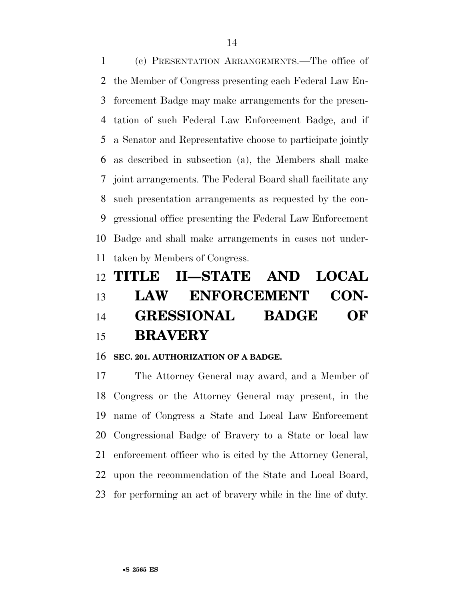(c) PRESENTATION ARRANGEMENTS.—The office of the Member of Congress presenting each Federal Law En- forcement Badge may make arrangements for the presen- tation of such Federal Law Enforcement Badge, and if a Senator and Representative choose to participate jointly as described in subsection (a), the Members shall make joint arrangements. The Federal Board shall facilitate any such presentation arrangements as requested by the con- gressional office presenting the Federal Law Enforcement Badge and shall make arrangements in cases not under-taken by Members of Congress.

# **TITLE II—STATE AND LOCAL LAW ENFORCEMENT CON- GRESSIONAL BADGE OF BRAVERY**

#### **SEC. 201. AUTHORIZATION OF A BADGE.**

 The Attorney General may award, and a Member of Congress or the Attorney General may present, in the name of Congress a State and Local Law Enforcement Congressional Badge of Bravery to a State or local law enforcement officer who is cited by the Attorney General, upon the recommendation of the State and Local Board, for performing an act of bravery while in the line of duty.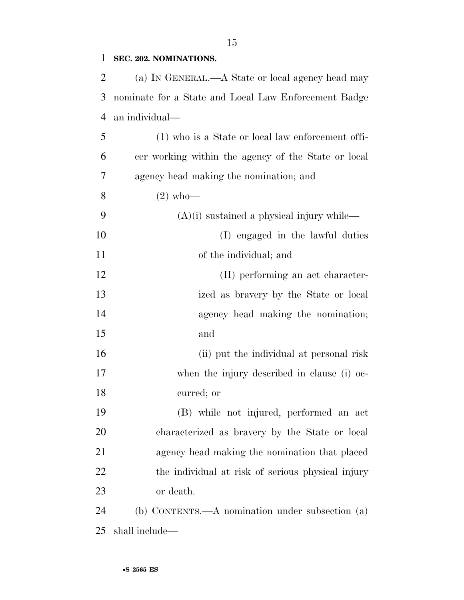#### **SEC. 202. NOMINATIONS.**

 (a) IN GENERAL.—A State or local agency head may nominate for a State and Local Law Enforcement Badge an individual—

 (1) who is a State or local law enforcement offi- cer working within the agency of the State or local agency head making the nomination; and

- (2) who—
- (A)(i) sustained a physical injury while—
- (I) engaged in the lawful duties of the individual; and
- (II) performing an act character- ized as bravery by the State or local 14 agency head making the nomination; and
- (ii) put the individual at personal risk when the injury described in clause (i) oc-curred; or
- (B) while not injured, performed an act characterized as bravery by the State or local agency head making the nomination that placed the individual at risk of serious physical injury or death.
- (b) CONTENTS.—A nomination under subsection (a) shall include—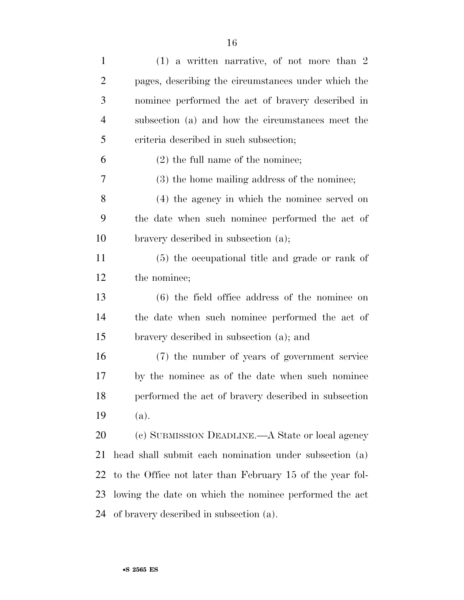| $\mathbf{1}$   | $(1)$ a written narrative, of not more than 2             |
|----------------|-----------------------------------------------------------|
| $\overline{2}$ | pages, describing the circumstances under which the       |
| 3              | nominee performed the act of bravery described in         |
| $\overline{4}$ | subsection (a) and how the circumstances meet the         |
| 5              | criteria described in such subsection;                    |
| 6              | $(2)$ the full name of the nominee;                       |
| 7              | (3) the home mailing address of the nominee;              |
| 8              | (4) the agency in which the nominee served on             |
| 9              | the date when such nominee performed the act of           |
| 10             | bravery described in subsection (a);                      |
| 11             | (5) the occupational title and grade or rank of           |
| 12             | the nominee;                                              |
| 13             | $(6)$ the field office address of the nominee on          |
| 14             | the date when such nominee performed the act of           |
| 15             | bravery described in subsection (a); and                  |
| 16             | (7) the number of years of government service             |
| 17             | by the nominee as of the date when such nominee           |
| 18             | performed the act of bravery described in subsection      |
| 19             | (a).                                                      |
| 20             | (c) SUBMISSION DEADLINE.—A State or local agency          |
| 21             | head shall submit each nomination under subsection (a)    |
| 22             | to the Office not later than February 15 of the year fol- |
| 23             | lowing the date on which the nominee performed the act    |
| 24             | of bravery described in subsection (a).                   |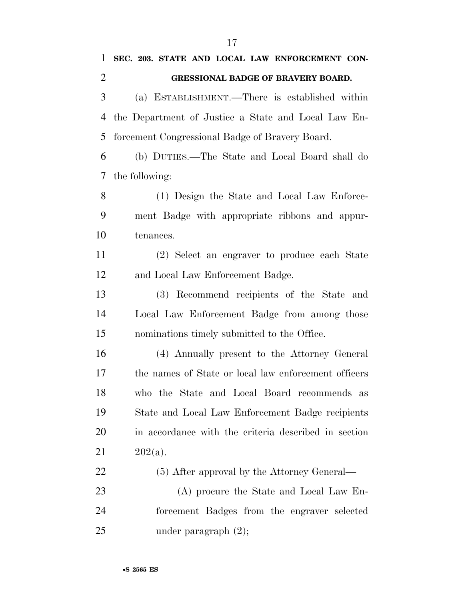| 1              | SEC. 203. STATE AND LOCAL LAW ENFORCEMENT CON-      |
|----------------|-----------------------------------------------------|
| $\overline{2}$ | <b>GRESSIONAL BADGE OF BRAVERY BOARD.</b>           |
| 3              | (a) ESTABLISHMENT.—There is established within      |
| 4              | the Department of Justice a State and Local Law En- |
| 5              | forcement Congressional Badge of Bravery Board.     |
| 6              | (b) DUTIES.—The State and Local Board shall do      |
| 7              | the following:                                      |
| 8              | (1) Design the State and Local Law Enforce-         |
| 9              | ment Badge with appropriate ribbons and appur-      |
| 10             | tenances.                                           |
| 11             | (2) Select an engraver to produce each State        |
| 12             | and Local Law Enforcement Badge.                    |

 (3) Recommend recipients of the State and Local Law Enforcement Badge from among those nominations timely submitted to the Office.

 (4) Annually present to the Attorney General the names of State or local law enforcement officers who the State and Local Board recommends as State and Local Law Enforcement Badge recipients in accordance with the criteria described in section 21  $202(a)$ .

(5) After approval by the Attorney General—

 (A) procure the State and Local Law En- forcement Badges from the engraver selected 25 under paragraph  $(2)$ ;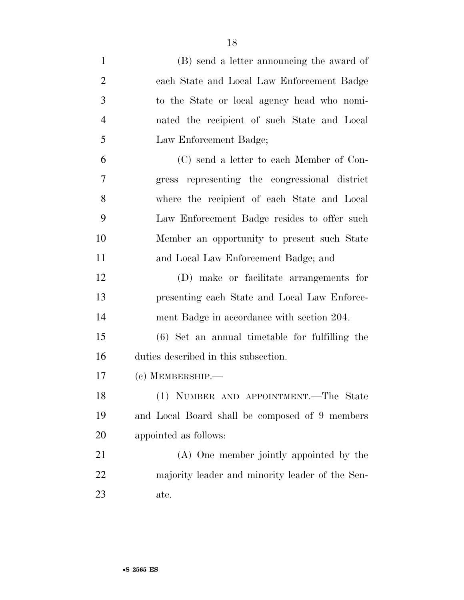| $\mathbf{1}$   | (B) send a letter announcing the award of        |
|----------------|--------------------------------------------------|
| $\overline{2}$ | each State and Local Law Enforcement Badge       |
| 3              | to the State or local agency head who nomi-      |
| $\overline{4}$ | nated the recipient of such State and Local      |
| 5              | Law Enforcement Badge;                           |
| 6              | (C) send a letter to each Member of Con-         |
| 7              | gress representing the congressional district    |
| 8              | where the recipient of each State and Local      |
| 9              | Law Enforcement Badge resides to offer such      |
| 10             | Member an opportunity to present such State      |
| 11             | and Local Law Enforcement Badge; and             |
| 12             | (D) make or facilitate arrangements for          |
| 13             | presenting each State and Local Law Enforce-     |
| 14             | ment Badge in accordance with section 204.       |
| 15             | $(6)$ Set an annual timetable for fulfilling the |
| 16             | duties described in this subsection.             |
| 17             | $(e)$ MEMBERSHIP.—                               |
| 18             | (1) NUMBER AND APPOINTMENT.—The State            |
| 19             | and Local Board shall be composed of 9 members   |
| 20             | appointed as follows:                            |
| 21             | (A) One member jointly appointed by the          |
| 22             | majority leader and minority leader of the Sen-  |
| 23             | ate.                                             |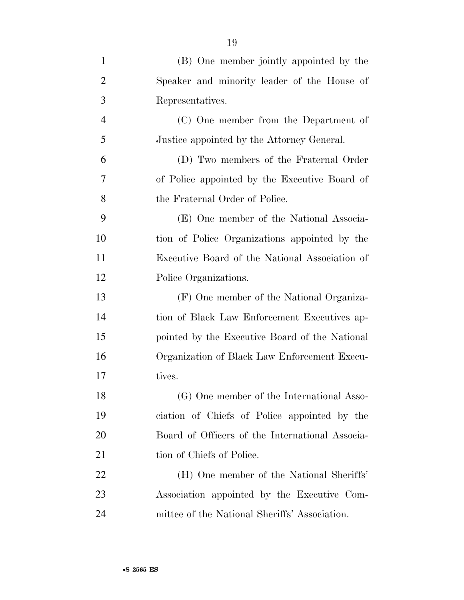| $\mathbf{1}$   | (B) One member jointly appointed by the         |
|----------------|-------------------------------------------------|
| $\overline{2}$ | Speaker and minority leader of the House of     |
| 3              | Representatives.                                |
| $\overline{4}$ | (C) One member from the Department of           |
| 5              | Justice appointed by the Attorney General.      |
| 6              | (D) Two members of the Fraternal Order          |
| 7              | of Police appointed by the Executive Board of   |
| 8              | the Fraternal Order of Police.                  |
| 9              | (E) One member of the National Associa-         |
| 10             | tion of Police Organizations appointed by the   |
| 11             | Executive Board of the National Association of  |
| 12             | Police Organizations.                           |
| 13             | (F) One member of the National Organiza-        |
| 14             | tion of Black Law Enforcement Executives ap-    |
| 15             | pointed by the Executive Board of the National  |
| 16             | Organization of Black Law Enforcement Execu-    |
| 17             | tives.                                          |
| 18             | (G) One member of the International Asso-       |
| 19             | ciation of Chiefs of Police appointed by the    |
| 20             | Board of Officers of the International Associa- |
| 21             | tion of Chiefs of Police.                       |
| 22             | (H) One member of the National Sheriffs'        |
| 23             | Association appointed by the Executive Com-     |
| 24             | mittee of the National Sheriffs' Association.   |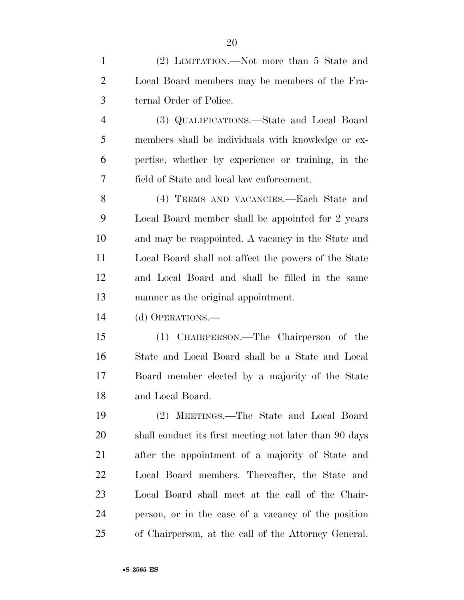(2) LIMITATION.—Not more than 5 State and Local Board members may be members of the Fra- ternal Order of Police. (3) QUALIFICATIONS.—State and Local Board members shall be individuals with knowledge or ex-pertise, whether by experience or training, in the

 (4) TERMS AND VACANCIES.—Each State and Local Board member shall be appointed for 2 years and may be reappointed. A vacancy in the State and Local Board shall not affect the powers of the State and Local Board and shall be filled in the same manner as the original appointment.

field of State and local law enforcement.

(d) OPERATIONS.—

 (1) CHAIRPERSON.—The Chairperson of the State and Local Board shall be a State and Local Board member elected by a majority of the State and Local Board.

 (2) MEETINGS.—The State and Local Board shall conduct its first meeting not later than 90 days after the appointment of a majority of State and Local Board members. Thereafter, the State and Local Board shall meet at the call of the Chair- person, or in the case of a vacancy of the position of Chairperson, at the call of the Attorney General.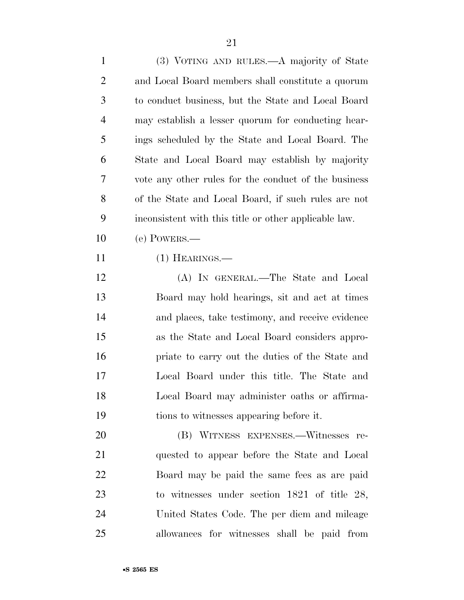| $\mathbf{1}$   | (3) VOTING AND RULES.—A majority of State             |
|----------------|-------------------------------------------------------|
| 2              | and Local Board members shall constitute a quorum     |
| 3              | to conduct business, but the State and Local Board    |
| $\overline{4}$ | may establish a lesser quorum for conducting hear-    |
| 5              | ings scheduled by the State and Local Board. The      |
| 6              | State and Local Board may establish by majority       |
| 7              | vote any other rules for the conduct of the business  |
| 8              | of the State and Local Board, if such rules are not   |
| 9              | inconsistent with this title or other applicable law. |
| 10             | $(e)$ POWERS.—                                        |
| 11             | $(1)$ HEARINGS.—                                      |
| 12             | (A) IN GENERAL.—The State and Local                   |
| 13             | Board may hold hearings, sit and act at times         |
| 14             | and places, take testimony, and receive evidence      |
| 15             | as the State and Local Board considers appro-         |
| 16             | priate to carry out the duties of the State and       |
| 17             | Local Board under this title. The State and           |
| 18             | Local Board may administer oaths or affirma-          |
| 19             | tions to witnesses appearing before it.               |
| 20             | (B) WITNESS EXPENSES.—Witnesses re-                   |
| 21             | quested to appear before the State and Local          |
| 22             | Board may be paid the same fees as are paid           |
| 23             | to witnesses under section $1821$ of title 28,        |
| 24             | United States Code. The per diem and mileage          |

allowances for witnesses shall be paid from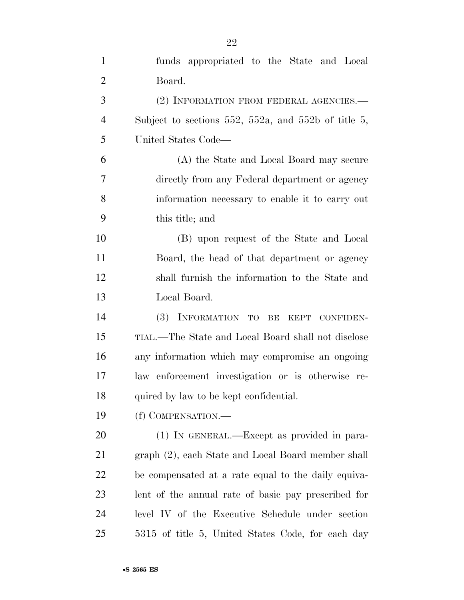| $\mathbf{1}$   | funds appropriated to the State and Local           |
|----------------|-----------------------------------------------------|
| $\overline{2}$ | Board.                                              |
| 3              | (2) INFORMATION FROM FEDERAL AGENCIES.—             |
| $\overline{4}$ | Subject to sections 552, 552a, and 552b of title 5, |
| 5              | United States Code—                                 |
| 6              | (A) the State and Local Board may secure            |
| 7              | directly from any Federal department or agency      |
| 8              | information necessary to enable it to carry out     |
| 9              | this title; and                                     |
| 10             | (B) upon request of the State and Local             |
| 11             | Board, the head of that department or agency        |
| 12             | shall furnish the information to the State and      |
| 13             | Local Board.                                        |
| 14             | INFORMATION TO<br><b>(3)</b><br>BE KEPT CONFIDEN-   |
| 15             | TIAL.—The State and Local Board shall not disclose  |
| 16             | any information which may compromise an ongoing     |
| 17             | law enforcement investigation or is otherwise re-   |
| 18             | quired by law to be kept confidential.              |
| 19             | (f) COMPENSATION.—                                  |
| 20             | (1) IN GENERAL.—Except as provided in para-         |
| 21             | graph (2), each State and Local Board member shall  |
| 22             | be compensated at a rate equal to the daily equiva- |
| 23             | lent of the annual rate of basic pay prescribed for |
| 24             | level IV of the Executive Schedule under section    |
| 25             | 5315 of title 5, United States Code, for each day   |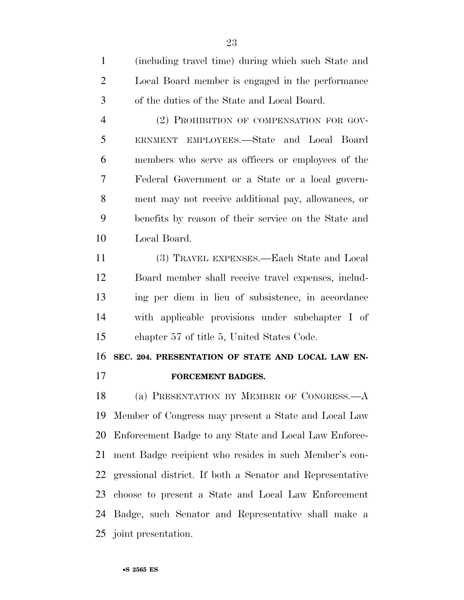(including travel time) during which such State and Local Board member is engaged in the performance of the duties of the State and Local Board.

 (2) PROHIBITION OF COMPENSATION FOR GOV- ERNMENT EMPLOYEES.—State and Local Board members who serve as officers or employees of the Federal Government or a State or a local govern- ment may not receive additional pay, allowances, or benefits by reason of their service on the State and Local Board.

 (3) TRAVEL EXPENSES.—Each State and Local Board member shall receive travel expenses, includ- ing per diem in lieu of subsistence, in accordance with applicable provisions under subchapter I of chapter 57 of title 5, United States Code.

## **SEC. 204. PRESENTATION OF STATE AND LOCAL LAW EN-**

**FORCEMENT BADGES.** 

 (a) PRESENTATION BY MEMBER OF CONGRESS.—A Member of Congress may present a State and Local Law Enforcement Badge to any State and Local Law Enforce- ment Badge recipient who resides in such Member's con- gressional district. If both a Senator and Representative choose to present a State and Local Law Enforcement Badge, such Senator and Representative shall make a joint presentation.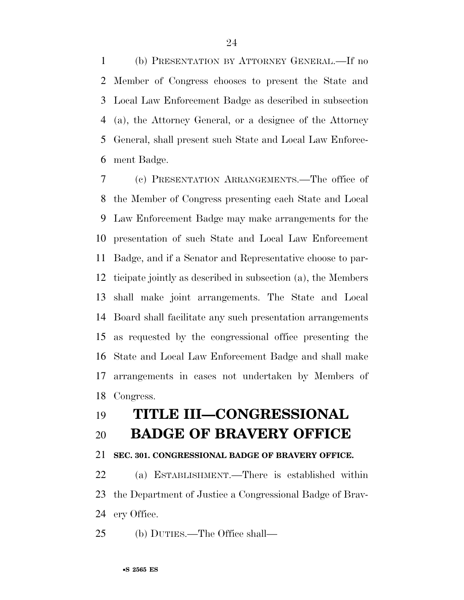(b) PRESENTATION BY ATTORNEY GENERAL.—If no Member of Congress chooses to present the State and Local Law Enforcement Badge as described in subsection (a), the Attorney General, or a designee of the Attorney General, shall present such State and Local Law Enforce-ment Badge.

 (c) PRESENTATION ARRANGEMENTS.—The office of the Member of Congress presenting each State and Local Law Enforcement Badge may make arrangements for the presentation of such State and Local Law Enforcement Badge, and if a Senator and Representative choose to par- ticipate jointly as described in subsection (a), the Members shall make joint arrangements. The State and Local Board shall facilitate any such presentation arrangements as requested by the congressional office presenting the State and Local Law Enforcement Badge and shall make arrangements in cases not undertaken by Members of Congress.

## **TITLE III—CONGRESSIONAL**

### **BADGE OF BRAVERY OFFICE**

#### **SEC. 301. CONGRESSIONAL BADGE OF BRAVERY OFFICE.**

 (a) ESTABLISHMENT.—There is established within the Department of Justice a Congressional Badge of Brav-ery Office.

(b) DUTIES.—The Office shall—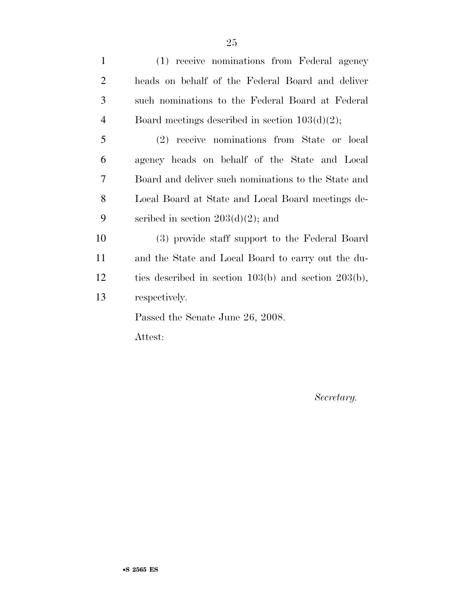| $\mathbf{1}$   | (1) receive nominations from Federal agency               |
|----------------|-----------------------------------------------------------|
| 2              | heads on behalf of the Federal Board and deliver          |
| 3              | such nominations to the Federal Board at Federal          |
| $\overline{4}$ | Board meetings described in section $103(d)(2)$ ;         |
| 5              | (2) receive nominations from State or local               |
| 6              | agency heads on behalf of the State and Local             |
| 7              | Board and deliver such nominations to the State and       |
| 8              | Local Board at State and Local Board meetings de-         |
| 9              | scribed in section $203(d)(2)$ ; and                      |
| 10             | (3) provide staff support to the Federal Board            |
| 11             | and the State and Local Board to carry out the du-        |
| 12             | ties described in section $103(b)$ and section $203(b)$ , |
| 13             | respectively.                                             |
|                | Passed the Senate June 26, 2008.                          |

Attest:

*Secretary.*